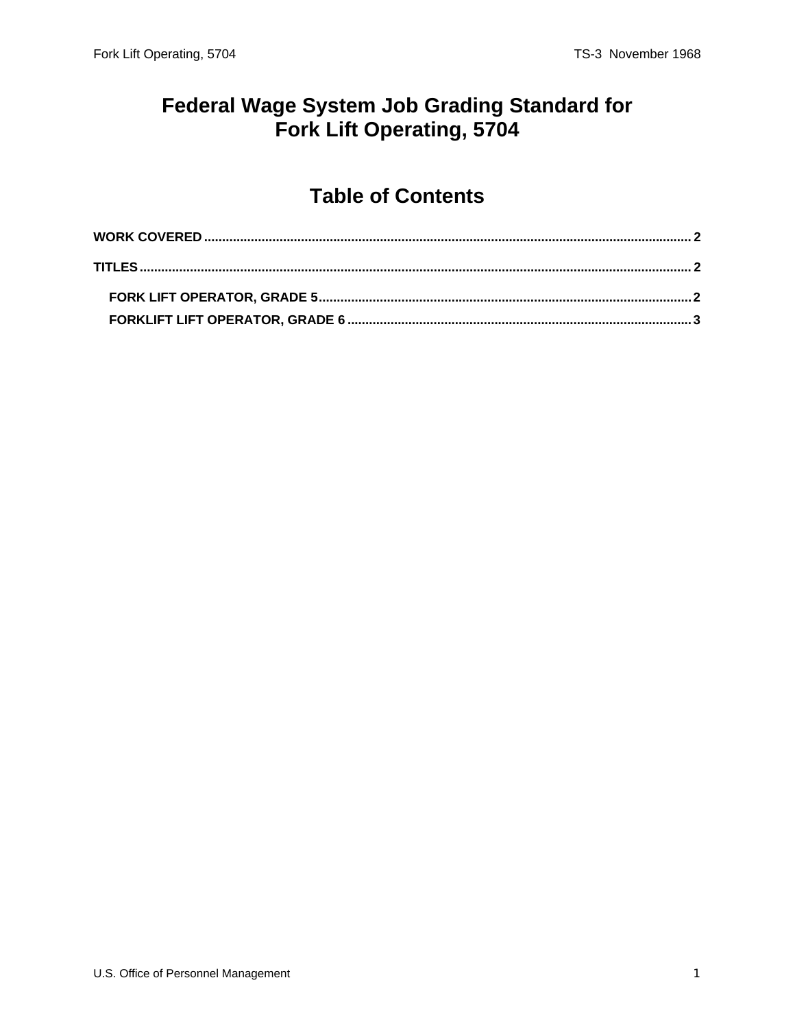### **Federal Wage System Job Grading Standard for** Fork Lift Operating, 5704

### **Table of Contents**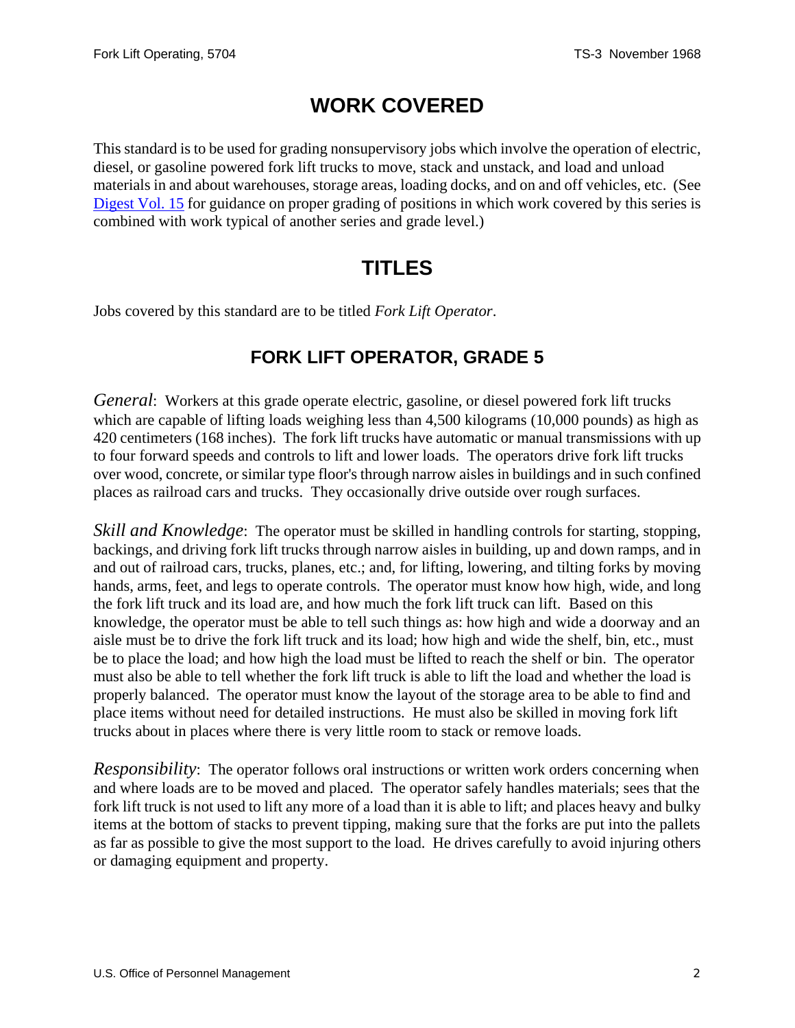# **WORK COVERED**

<span id="page-1-0"></span>This standard is to be used for grading nonsupervisory jobs which involve the operation of electric, diesel, or gasoline powered fork lift trucks to move, stack and unstack, and load and unload materials in and about warehouses, storage areas, loading docks, and on and off vehicles, etc. (See [Digest Vol. 15](/classapp/digests/digest15.pdf) for guidance on proper grading of positions in which work covered by this series is combined with work typical of another series and grade level.)

# **TITLES**

Jobs covered by this standard are to be titled *Fork Lift Operator*.

#### **FORK LIFT OPERATOR, GRADE 5**

*General*: Workers at this grade operate electric, gasoline, or diesel powered fork lift trucks which are capable of lifting loads weighing less than 4,500 kilograms (10,000 pounds) as high as 420 centimeters (168 inches). The fork lift trucks have automatic or manual transmissions with up to four forward speeds and controls to lift and lower loads. The operators drive fork lift trucks over wood, concrete, or similar type floor's through narrow aisles in buildings and in such confined places as railroad cars and trucks. They occasionally drive outside over rough surfaces.

*Skill and Knowledge*: The operator must be skilled in handling controls for starting, stopping, backings, and driving fork lift trucks through narrow aisles in building, up and down ramps, and in and out of railroad cars, trucks, planes, etc.; and, for lifting, lowering, and tilting forks by moving hands, arms, feet, and legs to operate controls. The operator must know how high, wide, and long the fork lift truck and its load are, and how much the fork lift truck can lift. Based on this knowledge, the operator must be able to tell such things as: how high and wide a doorway and an aisle must be to drive the fork lift truck and its load; how high and wide the shelf, bin, etc., must be to place the load; and how high the load must be lifted to reach the shelf or bin. The operator must also be able to tell whether the fork lift truck is able to lift the load and whether the load is properly balanced. The operator must know the layout of the storage area to be able to find and place items without need for detailed instructions. He must also be skilled in moving fork lift trucks about in places where there is very little room to stack or remove loads.

*Responsibility*: The operator follows oral instructions or written work orders concerning when and where loads are to be moved and placed. The operator safely handles materials; sees that the fork lift truck is not used to lift any more of a load than it is able to lift; and places heavy and bulky items at the bottom of stacks to prevent tipping, making sure that the forks are put into the pallets as far as possible to give the most support to the load. He drives carefully to avoid injuring others or damaging equipment and property.